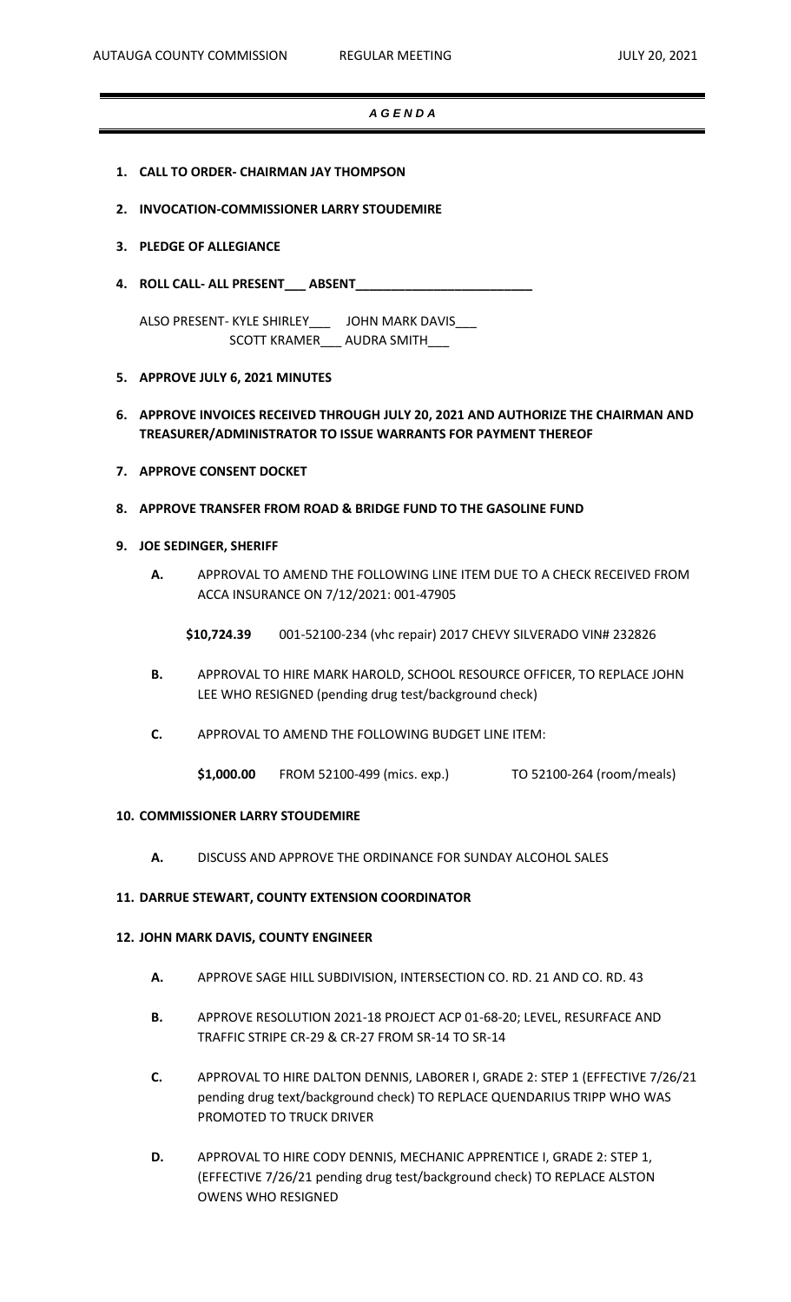### *A G E N D A*

- **1. CALL TO ORDER- CHAIRMAN JAY THOMPSON**
- **2. INVOCATION-COMMISSIONER LARRY STOUDEMIRE**
- **3. PLEDGE OF ALLEGIANCE**
- **4. ROLL CALL- ALL PRESENT\_\_\_ ABSENT\_\_\_\_\_\_\_\_\_\_\_\_\_\_\_\_\_\_\_\_\_\_\_\_\_**

ALSO PRESENT- KYLE SHIRLEY\_\_\_ JOHN MARK DAVIS\_\_\_ SCOTT KRAMER\_\_\_ AUDRA SMITH\_\_\_

- **5. APPROVE JULY 6, 2021 MINUTES**
- **6. APPROVE INVOICES RECEIVED THROUGH JULY 20, 2021 AND AUTHORIZE THE CHAIRMAN AND TREASURER/ADMINISTRATOR TO ISSUE WARRANTS FOR PAYMENT THEREOF**
- **7. APPROVE CONSENT DOCKET**
- **8. APPROVE TRANSFER FROM ROAD & BRIDGE FUND TO THE GASOLINE FUND**

#### **9. JOE SEDINGER, SHERIFF**

- **A.** APPROVAL TO AMEND THE FOLLOWING LINE ITEM DUE TO A CHECK RECEIVED FROM ACCA INSURANCE ON 7/12/2021: 001-47905
	- **\$10,724.39** 001-52100-234 (vhc repair) 2017 CHEVY SILVERADO VIN# 232826
- **B.** APPROVAL TO HIRE MARK HAROLD, SCHOOL RESOURCE OFFICER, TO REPLACE JOHN LEE WHO RESIGNED (pending drug test/background check)
- **C.** APPROVAL TO AMEND THE FOLLOWING BUDGET LINE ITEM:
	- **\$1,000.00** FROM 52100-499 (mics. exp.) TO 52100-264 (room/meals)

### **10. COMMISSIONER LARRY STOUDEMIRE**

**A.** DISCUSS AND APPROVE THE ORDINANCE FOR SUNDAY ALCOHOL SALES

### **11. DARRUE STEWART, COUNTY EXTENSION COORDINATOR**

#### **12. JOHN MARK DAVIS, COUNTY ENGINEER**

- **A.** APPROVE SAGE HILL SUBDIVISION, INTERSECTION CO. RD. 21 AND CO. RD. 43
- **B.** APPROVE RESOLUTION 2021-18 PROJECT ACP 01-68-20; LEVEL, RESURFACE AND TRAFFIC STRIPE CR-29 & CR-27 FROM SR-14 TO SR-14
- **C.** APPROVAL TO HIRE DALTON DENNIS, LABORER I, GRADE 2: STEP 1 (EFFECTIVE 7/26/21 pending drug text/background check) TO REPLACE QUENDARIUS TRIPP WHO WAS PROMOTED TO TRUCK DRIVER
- **D.** APPROVAL TO HIRE CODY DENNIS, MECHANIC APPRENTICE I, GRADE 2: STEP 1, (EFFECTIVE 7/26/21 pending drug test/background check) TO REPLACE ALSTON OWENS WHO RESIGNED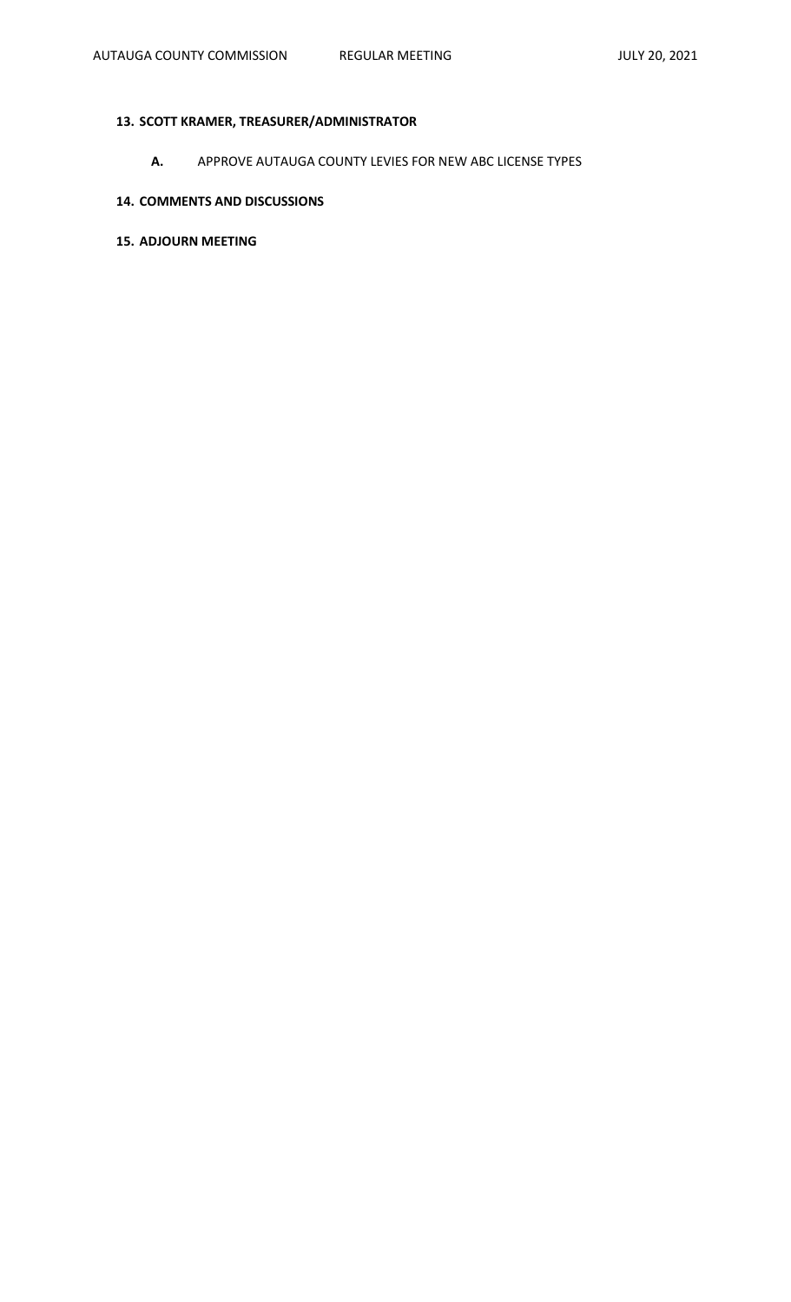# **13. SCOTT KRAMER, TREASURER/ADMINISTRATOR**

**A.** APPROVE AUTAUGA COUNTY LEVIES FOR NEW ABC LICENSE TYPES

## **14. COMMENTS AND DISCUSSIONS**

## **15. ADJOURN MEETING**